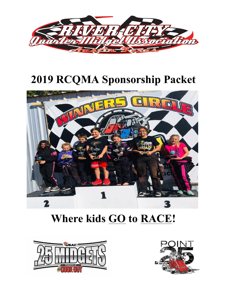

# **2019 RCQMA Sponsorship Packet**



## **Where kids GO to RACE!**



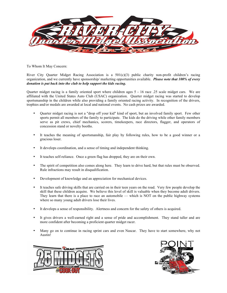

To Whom It May Concern:

River City Quarter Midget Racing Association is a  $501(c)(3)$  public charity non-profit children's racing organization, and we currently have sponsorship/ marketing opportunities available. *Please note that 100% of every donation is put back into the club to help support the kids racing.* 

Quarter midget racing is a family oriented sport where children ages 5 - 16 race .25 scale midget cars. We are affiliated with the United States Auto Club (USAC) organization. Quarter midget racing was started to develop sportsmanship in the children while also providing a family oriented racing activity. In recognition of the drivers, trophies and/or medals are awarded at local and national events. No cash prizes are awarded.

- Quarter midget racing is not a "drop off your kid" kind of sport, but an involved family sport. Few other sports permit all members of the family to participate. The kids do the driving while other family members serve as pit crews, chief mechanics, scorers, timekeepers, race directors, flagger, and operators of concession stand or novelty booths.
- It teaches the meaning of sportsmanship, fair play by following rules, how to be a good winner or a gracious loser.
- It develops coordination, and a sense of timing and independent thinking.
- It teaches self-reliance. Once a green flag has dropped, they are on their own.
- The spirit of competition also comes along here. They learn to drive hard, but that rules must be observed. Rule infractions may result in disqualification.
- Development of knowledge and an appreciation for mechanical devices.
- It teaches safe driving skills that are carried on in their teen years on the road. Very few people develop the skill that these children acquire. We believe this level of skill is valuable when they become adult drivers. They learn that there is a place to race an automobile — which is NOT on the public highway systems where so many young adult drivers lose their lives.
- It develops a sense of responsibility. Alertness and concern for the safety of others is acquired.
- It gives drivers a well-earned right and a sense of pride and accomplishment. They stand taller and are more confident after becoming a proficient quarter midget racer.
- Many go on to continue in racing sprint cars and even Nascar. They have to start somewhere, why not Austin!



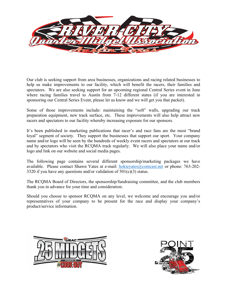

Our club is seeking support from area businesses, organizations and racing related businesses to help us make improvements to our facility, which will benefit the racers, their families and spectators. We are also seeking support for an upcoming regional Central Series event in June where racing families travel to Austin from 7-12 different states (if you are interested in sponsoring our Central Series Event, please let us know and we will get you that packet).

Some of those improvements include: maintaining the "soft" walls, upgrading our track preparation equipment, new track surface, etc. These improvements will also help attract new racers and spectators to our facility whereby increasing exposure for our sponsors.

It's been published in marketing publications that racer's and race fans are the most "brand loyal" segment of society. They support the businesses that support our sport. Your company name and/or logo will be seen by the hundreds of weekly event racers and spectators at our track and by spectators who visit the RCQMA track regularly. We will also place your name and/or logo and link on our website and social media pages.

The following page contains several different sponsorship/marketing packages we have available. Please contact Shawn Yates at e-mail: hokieyates@comcast.net or phone: 763-202- 3320 if you have any questions and/or validation of  $501(c)(3)$  status.

The RCQMA Board of Directors, the sponsorship/fundraising committee, and the club members thank you in advance for your time and consideration.

Should you choose to sponsor RCQMA on any level, we welcome and encourage you and/or representatives of your company to be present for the race and display your company's product/service information.



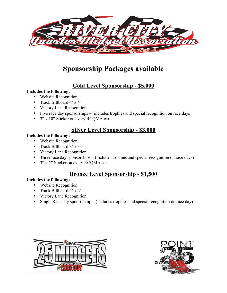

## **Sponsorship Packages available**

### **Gold Level Sponsorship - \$5,000**

#### **Includes the following:**

- Website Recognition
- Track Billboard 4' x 4'
- Victory Lane Recognition
- Five race day sponsorships (includes trophies and special recognition on race days)
- 3" x 10" Sticker on every RCQMA car

### **Silver Level Sponsorship - \$3,000**

#### **Includes the following:**

- Website Recognition
- Track Billboard 3' x 3'
- Victory Lane Recognition
- Three race day sponsorships (includes trophies and special recognition on race days)
- 3" x 5" Sticker on every RCQMA car

### **Bronze Level Sponsorship - \$1,500**

#### **Includes the following:**

- Website Recognition
- Track Billboard 2' x 2'
- Victory Lane Recognition
- Single Race day sponsorship (includes trophies and special recognition on race day)